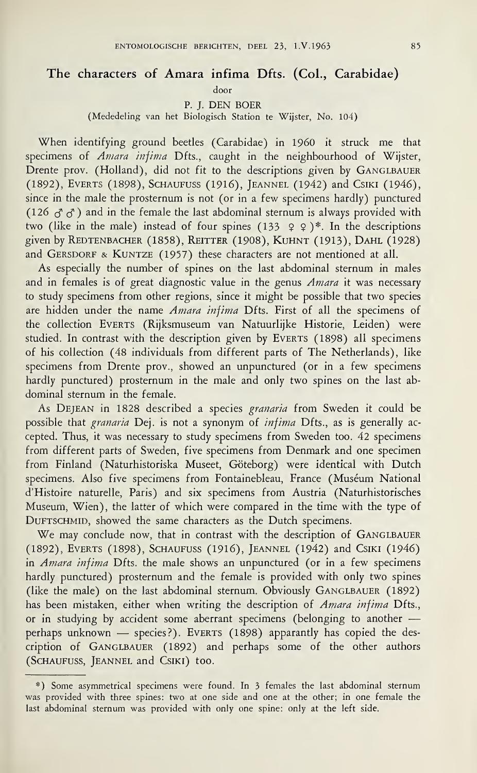## The characters of Amara infima Dfts. (Col., Carabidae)

door

P. J. DEN BOER

(Mededeling van het Biologisch Station te Wijster, No. 104)

When identifying ground beetles (Carabidae) in I960 it struck me that specimens of *Amara infima* Dfts., caught in the neighbourhood of Wijster, Drente prov. (Holland), did not fit to the descriptions given by GANGLBAUER (1892), Everts (1898), Schaufuss (1916), Jeannel (1942) and Csiki (1946), since in the male the prosternum is not (or in a few specimens hardly) punctured (126  $g^2$   $g^3$ ) and in the female the last abdominal sternum is always provided with two (like in the male) instead of four spines  $(133 \quad 9 \quad 9)^*$ . In the descriptions given by Redtenbacher (1858), Reitter (1908), Kuhnt (1913), Dahl (1928) and GERSDORF & KUNTZE (1957) these characters are not mentioned at all.

As especially the number of spines on the last abdominal sternum in males and in females is of great diagnostic value in the genus *Amara* it was necessary to study specimens from other regions, since it might be possible that two species are hidden under the name Amara infima Dfts. First of all the specimens of the collection EVERTS (Rijksmuseum van Natuurlijke Historie, Leiden) were studied. In contrast with the description given by EVERTS (1898) all specimens of his collection (48 individuals from different parts of The Netherlands), like specimens from Drente prov., showed an unpunctured (or in a few specimens hardly punctured) prosternum in the male and only two spines on the last abdominal sternum in the female.

As DEJEAN in 1828 described a species granaria from Sweden it could be possible that granaria Dej. is not a synonym of infima Dfts., as is generally accepted. Thus, it was necessary to study specimens from Sweden too. 42 specimens from different parts of Sweden, five specimens from Denmark and one specimen from Finland (Naturhistoriska Museet, Göteborg) were identical with Dutch specimens. Also five specimens from Fontainebleau, France (Muséum National d'Histoire naturelle, Paris) and six specimens from Austria (Naturhistorisches Museum, Wien), the latter of which were compared in the time with the type of DUFTSCHMID, showed the same characters as the Dutch specimens.

We may conclude now, that in contrast with the description of GANGLBAUER (1892), Everts (1898), Schaufuss (1916), Jeannel (1942) and Csiki (1946) in Amara infima Dfts. the male shows an unpunctured (or in a few specimens hardly punctured) prosternum and the female is provided with only two spines (like the male) on the last abdominal sternum. Obviously GANGLBAUER (1892) has been mistaken, either when writing the description of Amara infima Dfts., or in studying by accident some aberrant specimens (belonging to another perhaps unknown — species?). EVERTS (1898) apparantly has copied the description of GANGLBAUER (1892) and perhaps some of the other authors (Schaufuss, Jeannel and Csiki) too.

<sup>\*)</sup> Some asymmetrical specimens were found. In 3 females the last abdominal sternum was provided with three spines: two at one side and one at the other; in one female the last abdominal sternum was provided with only one spine: only at the left side.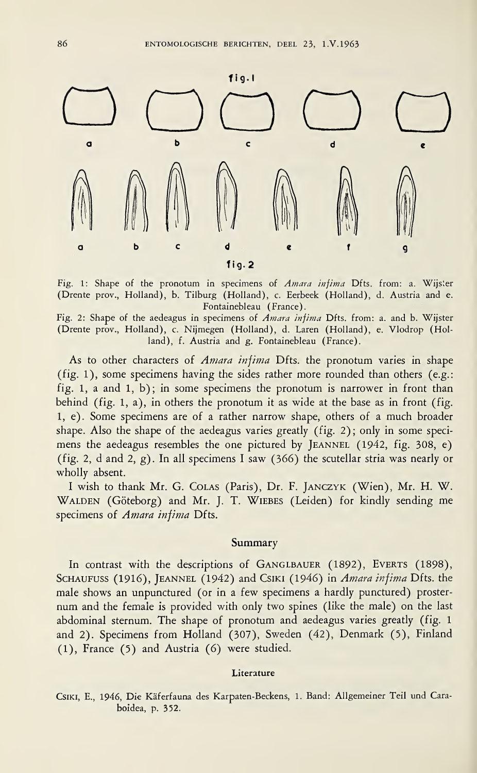

Fig. 1: Shape of the pronotum in specimens of Amara infima Dfts. from: a. Wijster (Drente prov., Holland), b. Tilburg (Holland), c. Eerbeek (Holland), d. Austria and e. Fontainebleau (France).

Fig. 2: Shape of the aedeagus in specimens of Amara infima Dfts. from: a. and b. Wijster (Drente prov., Holland), c. Nijmegen (Holland), d. Laren (Holland), e. Vlodrop (Hol land), f. Austria and g. Fontainebleau (France).

As to other characters of *Amara infima* Dfts. the pronotum varies in shape (fig. 1), some specimens having the sides rather more rounded than others (e.g.: fig. 1, a and 1, b); in some specimens the pronotum is narrower in front than behind (fig. 1, a), in others the pronotum it as wide at the base as in front (fig. 1, e). Some specimens are of a rather narrow shape, others of a much broader shape. Also the shape of the aedeagus varies greatly (fig. 2); only in some specimens the aedeagus resembles the one pictured by JEANNEL (1942, fig. 308, e) (fig. 2, d and 2, g). In all specimens I saw (366) the scutellar stria was nearly or wholly absent.

<sup>I</sup> wish to thank Mr. G. Colas (Paris), Dr. F. Janczyk (Wien), Mr. H. W. WALDEN (Göteborg) and Mr. J. T. WIEBES (Leiden) for kindly sending me specimens of Amara infima Dfts.

## Summary

In contrast with the descriptions of GANGLBAUER (1892), EVERTS (1898), SCHAUFUSS (1916), JEANNEL (1942) and CSIKI (1946) in Amara infima Dfts. the male shows an unpunctured (or in a few specimens a hardly punctured) prosternum and the female is provided with only two spines (like the male) on the last abdominal sternum. The shape of pronotum and aedeagus varies greatly (fig. <sup>1</sup> and 2). Specimens from Holland (307), Sweden (42), Denmark (5), Finland (1), France (5) and Austria (6) were studied.

## Literature

Csiki, E., 1946, Die Käferfauna des Karpaten-Beckens, 1. Band: Allgemeiner Teil und Caraboidea, p. 352.